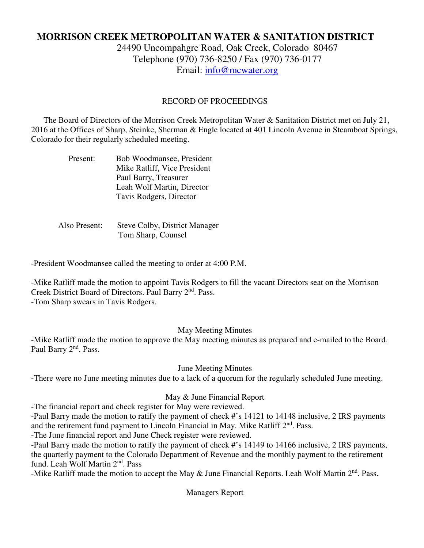# **MORRISON CREEK METROPOLITAN WATER & SANITATION DISTRICT**

24490 Uncompahgre Road, Oak Creek, Colorado 80467 Telephone (970) 736-8250 / Fax (970) 736-0177 Email: info@mcwater.org

#### RECORD OF PROCEEDINGS

 The Board of Directors of the Morrison Creek Metropolitan Water & Sanitation District met on July 21, 2016 at the Offices of Sharp, Steinke, Sherman & Engle located at 401 Lincoln Avenue in Steamboat Springs, Colorado for their regularly scheduled meeting.

| Present: | Bob Woodmansee, President    |
|----------|------------------------------|
|          | Mike Ratliff, Vice President |
|          | Paul Barry, Treasurer        |
|          | Leah Wolf Martin, Director   |
|          | Tavis Rodgers, Director      |

 Also Present: Steve Colby, District Manager Tom Sharp, Counsel

-President Woodmansee called the meeting to order at 4:00 P.M.

-Mike Ratliff made the motion to appoint Tavis Rodgers to fill the vacant Directors seat on the Morrison Creek District Board of Directors. Paul Barry 2<sup>nd</sup>. Pass. -Tom Sharp swears in Tavis Rodgers.

#### May Meeting Minutes

-Mike Ratliff made the motion to approve the May meeting minutes as prepared and e-mailed to the Board. Paul Barry 2<sup>nd</sup>. Pass.

June Meeting Minutes

-There were no June meeting minutes due to a lack of a quorum for the regularly scheduled June meeting.

#### May & June Financial Report

-The financial report and check register for May were reviewed.

-Paul Barry made the motion to ratify the payment of check #'s 14121 to 14148 inclusive, 2 IRS payments and the retirement fund payment to Lincoln Financial in May. Mike Ratliff 2<sup>nd</sup>. Pass.

-The June financial report and June Check register were reviewed.

-Paul Barry made the motion to ratify the payment of check #'s 14149 to 14166 inclusive, 2 IRS payments, the quarterly payment to the Colorado Department of Revenue and the monthly payment to the retirement fund. Leah Wolf Martin 2<sup>nd</sup>. Pass

-Mike Ratliff made the motion to accept the May & June Financial Reports. Leah Wolf Martin  $2<sup>nd</sup>$ . Pass.

Managers Report